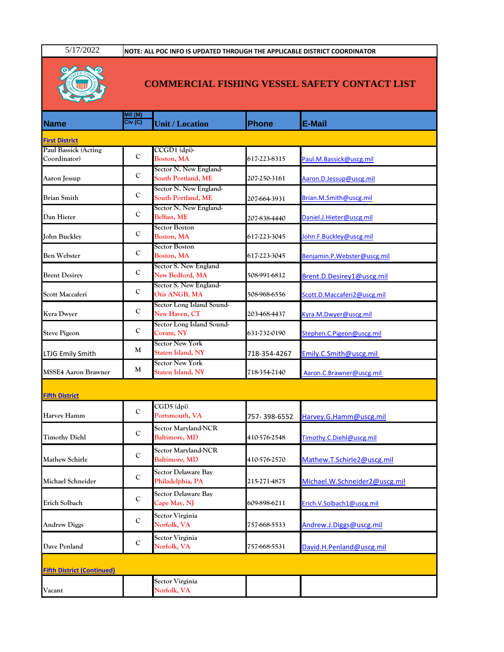5/17/2022 **NOTE: ALL POC INFO IS UPDATED THROUGH THE APPLICABLE DISTRICT COORDINATOR**



## **COMMERCIAL FISHING VESSEL SAFETY CONTACT LIST**

|                                      | Mil (M)<br>Civ(C) |                                                |              |                               |
|--------------------------------------|-------------------|------------------------------------------------|--------------|-------------------------------|
| <b>Name</b>                          |                   | <b>Unit / Location</b>                         | <b>Phone</b> | <b>E-Mail</b>                 |
| <b>First District</b>                |                   |                                                |              |                               |
| Paul Bassick (Acting<br>Coordinator) | $\mathbf C$       | CCGD1 (dpi)-<br>Boston, MA                     | 617-223-8315 | Paul.M.Bassick@uscg.mil       |
| Aaron Jessup                         | $\mathbf C$       | Sector N. New England-<br>South Portland, ME   | 207-250-3161 | Aaron.D.Jessup@uscg.mil       |
| <b>Brian Smith</b>                   | $\mathbf C$       | Sector N. New England-<br>South Portland, ME   | 207-664-3931 | Brian.M.Smith@uscg.mil        |
| Dan Hieter                           | $\mathbf C$       | Sector N. New England-<br>Belfast, ME          | 207-838-4440 | Daniel.J.Hieter@uscg.mil      |
| John Buckley                         | $\mathbf C$       | Sector Boston<br>Boston, MA                    | 617-223-3045 | John.F.Buckley@uscg.mil       |
| <b>Ben Webster</b>                   | $\mathbf C$       | <b>Sector Boston</b><br>Boston, MA             | 617-223-3045 | Benjamin.P.Webster@uscg.mil   |
| <b>Brent Desirey</b>                 | $\mathbf C$       | Sector S. New England<br>New Bedford, MA       | 508-991-6812 | Brent.D.Desirey1@uscg.mil     |
| Scott Maccaferi                      | $\mathbf C$       | Sector S. New England-<br>Otis ANGB, MA        | 508-968-6556 | Scott.D.Maccaferi2@uscg.mil   |
| <b>Kyra Dwyer</b>                    | $\mathbf C$       | Sector Long Island Sound-<br>New Haven, CT     | 203-468-4437 | Kyra.M.Dwyer@uscg.mil         |
| <b>Steve Pigeon</b>                  | $\mathbf C$       | Sector Long Island Sound-<br>Coram, NY         | 631-732-0190 | Stephen.C.Pigeon@uscg.mil     |
| LTJG Emily Smith                     | M                 | Sector New York<br>Staten Island, NY           | 718-354-4267 | Emily.C.Smith@uscg.mil        |
| <b>MSSE4 Aaron Brawner</b>           | M                 | <b>Sector New York</b><br>Staten Island, NY    | 718-354-2140 | Aaron.C.Brawner@uscg.mil      |
| <b>Fifth District</b>                |                   |                                                |              |                               |
| Harvey Hamm                          | $\mathbf C$       | CGD5 (dpi)<br>Portsmouth, VA                   | 757-398-6552 | Harvey.G.Hamm@uscg.mil        |
| <b>Timothy Diehl</b>                 | $\mathbf C$       | <b>Sector Maryland-NCR</b><br>Baltimore, MD    | 410-576-2548 | Timothy.C.Diehl@uscg.mil      |
| Mathew Schirle                       | $\mathbf C$       | Sector Maryland-NCR<br><b>Baltimore, MD</b>    | 410-576-2570 | Mathew.T.Schirle2@uscg.mil    |
| Michael Schneider                    | C                 | <b>Sector Delaware Bay</b><br>Philadelphia, PA | 215-271-4875 | Michael.W.Schneider2@uscg.mil |
| Erich Solbach                        | $\mathbf C$       | Sector Delaware Bay<br>Cape May, NJ            | 609-898-6211 | Erich.V.Solbach1@uscg.mil     |
| <b>Andrew Diggs</b>                  | $\mathbf C$       | Sector Virginia<br>Norfolk, VA                 | 757-668-5533 | Andrew.J.Diggs@uscg.mil       |
| Dave Penland                         | $\mathbf C$       | Sector Virginia<br>Norfolk, VA                 | 757-668-5531 | David.H.Penland@uscg.mil      |
| <b>Fifth District (Continued)</b>    |                   |                                                |              |                               |
| Vacant                               |                   | Sector Virginia<br>Norfolk, VA                 |              |                               |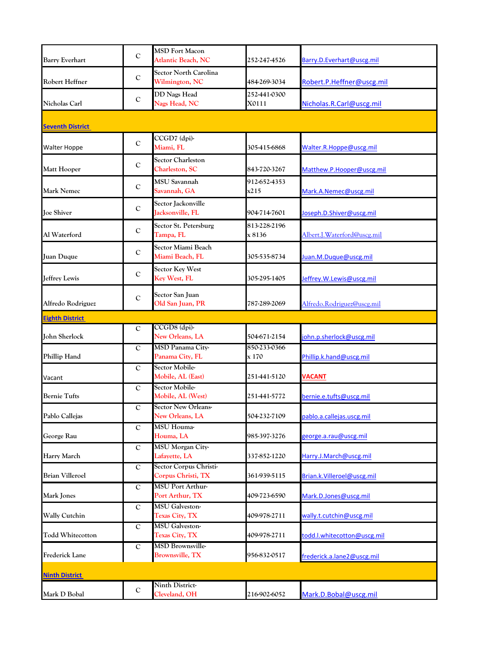| <b>Barry Everhart</b>   | $\mathbf C$ | <b>MSD Fort Macon</b><br><b>Atlantic Beach, NC</b> | 252-247-4526          | Barry.D.Everhart@uscg.mil   |
|-------------------------|-------------|----------------------------------------------------|-----------------------|-----------------------------|
|                         |             |                                                    |                       |                             |
| Robert Heffner          | $\mathbf C$ | <b>Sector North Carolina</b><br>Wilmington, NC     | 484-269-3034          | Robert.P.Heffner@uscg.mil   |
|                         |             | <b>DD Nags Head</b>                                | 252-441-0300          |                             |
| Nicholas Carl           | $\mathbf C$ | Nags Head, NC                                      | X0111                 | Nicholas.R.Carl@uscg.mil    |
|                         |             |                                                    |                       |                             |
| <b>Seventh District</b> |             |                                                    |                       |                             |
| <b>Walter Hoppe</b>     | $\mathbf C$ | CCGD7 (dpi)-<br>Miami, FL                          | 305-415-6868          | Walter.R.Hoppe@uscg.mil     |
| Matt Hooper             | $\mathbf C$ | Sector Charleston<br>Charleston, SC                | 843-720-3267          | Matthew.P.Hooper@uscg.mil   |
|                         |             | <b>MSU Savannah</b>                                | 912-652-4353          |                             |
| <b>Mark Nemec</b>       | $\mathbf C$ | Savannah, GA                                       | x215                  | Mark.A.Nemec@uscg.mil       |
|                         |             |                                                    |                       |                             |
| <b>Joe Shiver</b>       | $\mathbf C$ | Sector Jackonville<br>Jacksonville, FL             | 904-714-7601          | Joseph.D.Shiver@uscg.mil    |
|                         |             |                                                    | 813-228-2196          |                             |
| Al Waterford            | $\mathbf C$ | Sector St. Petersburg<br>Tampa, FL                 | x 8136                | Albert.J.Waterford@uscg.mil |
|                         |             | Sector Miami Beach                                 |                       |                             |
| Juan Duque              | $\mathbf C$ | Miami Beach, FL                                    | 305-535-8734          | Juan.M.Duque@uscg.mil       |
|                         |             | <b>Sector Key West</b>                             |                       |                             |
| Jeffrey Lewis           | $\mathbf C$ | Key West, FL                                       | 305-295-1405          | Jeffrey.W.Lewis@uscg.mil    |
|                         |             |                                                    |                       |                             |
| Alfredo Rodriguez       | $\mathbf C$ | Sector San Juan<br>Old San Juan, PR                | 787-289-2069          | Alfredo.Rodriguez@uscg.mil  |
|                         |             |                                                    |                       |                             |
| <b>Eighth District</b>  |             |                                                    |                       |                             |
|                         | C           | CCGD8 (dpi)-                                       |                       |                             |
| John Sherlock           |             | New Orleans, LA                                    | 504-671-2154          | john.p.sherlock@uscg.mil    |
| Phillip Hand            | $\mathbf C$ | MSD Panama City-<br>Panama City, FL                | 850-233-0366<br>x 170 | Phillip.k.hand@uscg.mil     |
|                         |             | Sector Mobile-                                     |                       |                             |
|                         | $\mathbf C$ | Mobile, AL (East)                                  | 251-441-5120          | <b>VACANT</b>               |
| Vacant                  |             | Sector Mobile-                                     |                       |                             |
| <b>Bernie Tufts</b>     | C           | Mobile, AL (West)                                  | 251-441-5772          | bernie.e.tufts@uscg.mil     |
|                         | $\mathbf C$ | <b>Sector New Orleans-</b>                         |                       |                             |
| Pablo Callejas          |             | New Orleans, LA                                    | 504-232-7109          | pablo.a.callejas.uscg.mil   |
|                         | $\mathbf C$ | <b>MSU</b> Houma-                                  |                       |                             |
| George Rau              |             | Houma, LA                                          | 985-397-3276          | george.a.rau@uscg.mil       |
|                         | $\mathbf C$ | MSU Morgan City-                                   |                       |                             |
| <b>Harry March</b>      |             | Lafayette, LA                                      | 337-852-1220          | Harry.J.March@uscg.mil      |
|                         | $\mathbf C$ | Sector Corpus Christi-                             |                       |                             |
| <b>Brian Villeroel</b>  |             | Corpus Christi, TX                                 | 361-939-5115          | Brian.k.Villeroel@uscg.mil  |
|                         | $\mathbf C$ | <b>MSU Port Arthur-</b>                            |                       |                             |
| Mark Jones              |             | Port Arthur, TX                                    | 409-723-6590          | Mark.D.Jones@uscg.mil       |
|                         | $\mathbf C$ | <b>MSU</b> Galveston-                              |                       |                             |
| Wally Cutchin           |             | Texas City, TX                                     | 409-978-2711          | wally.t.cutchin@uscg.mil    |
|                         | $\mathbf C$ | <b>MSU</b> Galveston-                              |                       |                             |
| <b>Todd Whitecotton</b> |             | Texas City, TX                                     | 409-978-2711          | todd.l.whitecotton@uscg.mil |
|                         | $\mathbf C$ | <b>MSD Brownsville-</b>                            |                       |                             |
| <b>Frederick Lane</b>   |             | <b>Brownsville, TX</b>                             | 956-832-0517          | frederick.a.lane2@uscg.mil  |
| <b>Ninth District</b>   |             |                                                    |                       |                             |
|                         |             | Ninth District-                                    |                       |                             |
| Mark D Bobal            | $\mathbf C$ | Cleveland, OH                                      | 216-902-6052          | Mark.D.Bobal@uscg.mil       |
|                         |             |                                                    |                       |                             |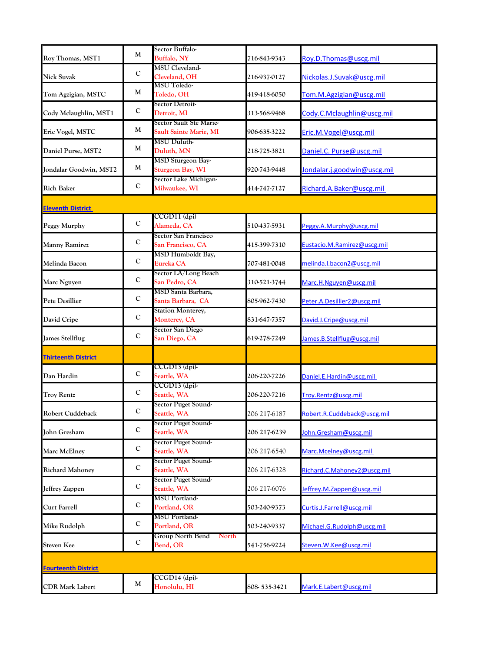|                            | M           | Sector Buffalo-                                   |              |                             |
|----------------------------|-------------|---------------------------------------------------|--------------|-----------------------------|
| Roy Thomas, MST1           |             | <b>Buffalo, NY</b>                                | 716-843-9343 | Roy.D.Thomas@uscg.mil       |
| Nick Suvak                 | C           | MSU Cleveland-<br>Cleveland, OH                   | 216-937-0127 | Nickolas.J.Suvak@uscg.mil   |
| Tom Agzigian, MSTC         | M           | <b>MSU Toledo-</b><br>Toledo, OH                  | 419-418-6050 | Tom.M.Agzigian@uscg.mil     |
| Cody Mclaughlin, MST1      | $\mathbf C$ | Sector Detroit-<br>Detroit, MI                    | 313-568-9468 | Cody.C.Mclaughlin@uscg.mil  |
| Eric Vogel, MSTC           | M           | Sector Sault Ste Marie-<br>Sault Sainte Marie, MI | 906-635-3222 | Eric.M.Vogel@uscg.mil       |
| Daniel Purse, MST2         | M           | MSU Duluth-<br>Duluth, MN                         | 218-725-3821 | Daniel.C. Purse@uscg.mil    |
| Jondalar Goodwin, MST2     | M           | MSD Sturgeon Bay-<br><b>Sturgeon Bay, WI</b>      | 920-743-9448 | Jondalar.j.goodwin@uscg.mil |
| <b>Rich Baker</b>          | $\mathbf C$ | Sector Lake Michigan-<br>Milwaukee, WI            | 414-747-7127 | Richard.A.Baker@uscg.mil    |
| <b>Eleventh District</b>   |             |                                                   |              |                             |
| Peggy Murphy               | $\mathbf C$ | CCGD11 (dpi)<br>Alameda, CA                       | 510-437-5931 | Peggy.A.Murphy@uscg.mil     |
| Manny Ramirez              | $\mathbf C$ | Sector San Francisco<br>San Francisco, CA         | 415-399-7310 | Eustacio.M.Ramirez@uscg.mil |
| Melinda Bacon              | $\mathbf C$ | MSD Humboldt Bay,<br>Eureka CA                    | 707-481-0048 | melinda.l.bacon2@uscg.mil   |
| Marc Nguyen                | $\mathbf C$ | Sector LA/Long Beach<br>San Pedro, CA             | 310-521-3744 | Marc.H.Nguyen@uscg.mil      |
| <b>Pete Desillier</b>      | C           | MSD Santa Barbara,<br>Santa Barbara, CA           | 805-962-7430 | Peter.A.Desillier2@uscg.mil |
| David Cripe                | $\mathbf C$ | <b>Station Monterey,</b><br>Monterey, CA          | 831-647-7357 | David.J.Cripe@uscg.mil      |
| <b>James Stellflug</b>     | $\mathbf C$ | Sector San Diego<br>San Diego, CA                 | 619-278-7249 | James.B.Stellflug@uscg.mil  |
| <b>Thirteenth District</b> |             |                                                   |              |                             |
| Dan Hardin                 | $\mathbf C$ | CCGD13 (dpi)-<br>Seattle, WA                      | 206-220-7226 | Daniel.E.Hardin@uscg.mil    |
| <b>Troy Rentz</b>          | C           | CCGD13 (dpi)-<br>Seattle, WA                      | 206-220-7216 | Troy.Rentz@uscg.mil         |
| Robert Cuddeback           | C           | Sector Puget Sound-<br>Seattle, WA                | 206 217-6187 | Robert.R.Cuddeback@uscg.mil |
| <b>John Gresham</b>        | $\mathbf C$ | Sector Puget Sound-<br>Seattle, WA                | 206 217-6239 | John.Gresham@uscg.mil       |
| Marc McElney               | $\mathbf C$ | Sector Puget Sound-<br>Seattle, WA                | 206 217-6540 | Marc.Mcelney@uscg.mil       |
| <b>Richard Mahoney</b>     | $\mathbf C$ | Sector Puget Sound-<br>Seattle, WA                | 206 217-6328 | Richard.C.Mahoney2@uscg.mil |
| Jeffrey Zappen             | $\mathbf C$ | Sector Puget Sound-<br>Seattle, WA                | 206 217-6076 | Jeffrey.M.Zappen@uscg.mil   |
| <b>Curt Farrell</b>        | $\mathbf C$ | MSU Portland-<br>Portland, OR                     | 503-240-9373 | Curtis.J.Farrell@uscg.mil   |
| Mike Rudolph               | $\mathbf C$ | MSU Portland-<br>Portland, OR                     | 503-240-9337 | Michael.G.Rudolph@uscg.mil  |
| <b>Steven Kee</b>          | $\mathbf C$ | Group North Bend<br>North<br>Bend, OR             | 541-756-9224 | Steven.W.Kee@uscg.mil       |
| <b>Fourteenth District</b> |             |                                                   |              |                             |
| <b>CDR Mark Labert</b>     | M           | CCGD14 (dpi)-<br>Honolulu, HI                     | 808-535-3421 | Mark.E.Labert@uscg.mil      |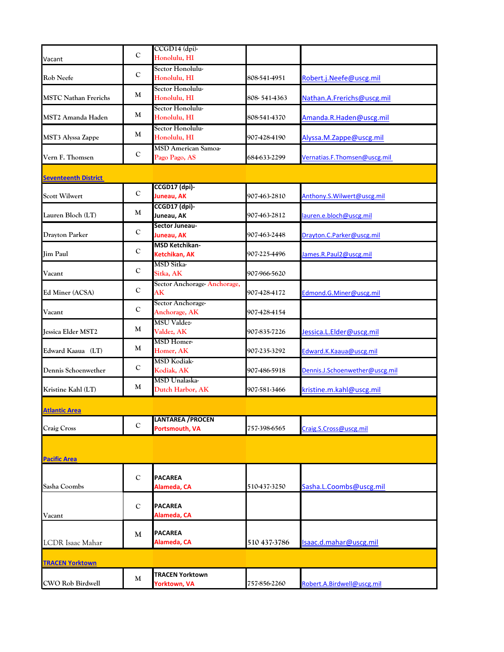| Vacant                      | $\mathbf C$ | CCGD14 (dpi)-<br>Honolulu, HI               |              |                                |
|-----------------------------|-------------|---------------------------------------------|--------------|--------------------------------|
| Rob Neefe                   | $\mathbf C$ | Sector Honolulu-<br>Honolulu, HI            | 808-541-4951 | Robert.j.Neefe@uscg.mil        |
| <b>MSTC Nathan Frerichs</b> | M           | Sector Honolulu-<br>Honolulu, HI            | 808-541-4363 | Nathan.A.Frerichs@uscg.mil     |
| MST2 Amanda Haden           | M           | Sector Honolulu-<br>Honolulu, HI            | 808-541-4370 | Amanda.R.Haden@uscg.mil        |
| MST3 Alyssa Zappe           | M           | Sector Honolulu-<br>Honolulu, HI            | 907-428-4190 | Alyssa.M. Zappe@uscg.mil       |
| Vern F. Thomsen             | $\mathbf C$ | <b>MSD American Samoa-</b><br>Pago Pago, AS | 684-633-2299 | Vernatias.F.Thomsen@uscg.mil   |
| <b>Seventeenth District</b> |             |                                             |              |                                |
| <b>Scott Wilwert</b>        | $\mathbf C$ | CCGD17 (dpi)-<br>Juneau, AK                 | 907-463-2810 | Anthony.S. Wilwert@uscg.mil    |
| Lauren Bloch (LT)           | M           | CCGD17 (dpi)-<br>Juneau, AK                 | 907-463-2812 | lauren.e.bloch@uscg.mil        |
| Drayton Parker              | C           | Sector Juneau-<br>Juneau, AK                | 907-463-2448 | Drayton.C.Parker@uscg.mil      |
| <b>Jim Paul</b>             | C           | <b>MSD Ketchikan-</b><br>Ketchikan, AK      | 907-225-4496 | James.R.Paul2@uscg.mil         |
| Vacant                      | C           | <b>MSD Sitka-</b><br>Sitka, AK              | 907-966-5620 |                                |
| Ed Miner (ACSA)             | C           | Sector Anchorage-Anchorage,<br>AK           | 907-428-4172 | Edmond.G.Miner@uscg.mil        |
| Vacant                      | C           | Sector Anchorage-<br>Anchorage, AK          | 907-428-4154 |                                |
| <b>Jessica Elder MST2</b>   | M           | <b>MSU Valdez-</b><br>Valdez, AK            | 907-835-7226 | Jessica.L.Elder@uscg.mil       |
| Edward Kaaua (LT)           | M           | <b>MSD</b> Homer-<br>Homer, AK              | 907-235-3292 | Edward.K.Kaaua@uscg.mil        |
| Dennis Schoenwether         | $\mathbf C$ | <b>MSD Kodiak-</b><br>Kodiak, AK            | 907-486-5918 | Dennis.J.Schoenwether@uscg.mil |
| Kristine Kahl (LT)          | M           | MSD Unalaska-<br>Dutch Harbor, AK           | 907-581-3466 | kristine.m.kahl@uscg.mil       |
| <b>Atlantic Area</b>        |             |                                             |              |                                |
| <b>Craig Cross</b>          | $\mathbf C$ | <b>LANTAREA / PROCEN</b><br>Portsmouth, VA  | 757-398-6565 | Craig.S.Cross@uscg.mil         |
|                             |             |                                             |              |                                |
| <b>Pacific Area</b>         |             |                                             |              |                                |
| Sasha Coombs                | $\mathbf C$ | <b>PACAREA</b><br>Alameda, CA               | 510-437-3250 | Sasha.L.Coombs@uscg.mil        |
| Vacant                      | $\mathbf C$ | <b>PACAREA</b><br>Alameda, CA               |              |                                |
| <b>LCDR</b> Isaac Mahar     | M           | <b>PACAREA</b><br>Alameda, CA               | 510 437-3786 | Isaac.d.mahar@uscg.mil         |
| <b>TRACEN Yorktown</b>      |             |                                             |              |                                |
| CWO Rob Birdwell            | M           | <b>TRACEN Yorktown</b><br>Yorktown, VA      | 757-856-2260 | Robert.A.Birdwell@uscg.mil     |